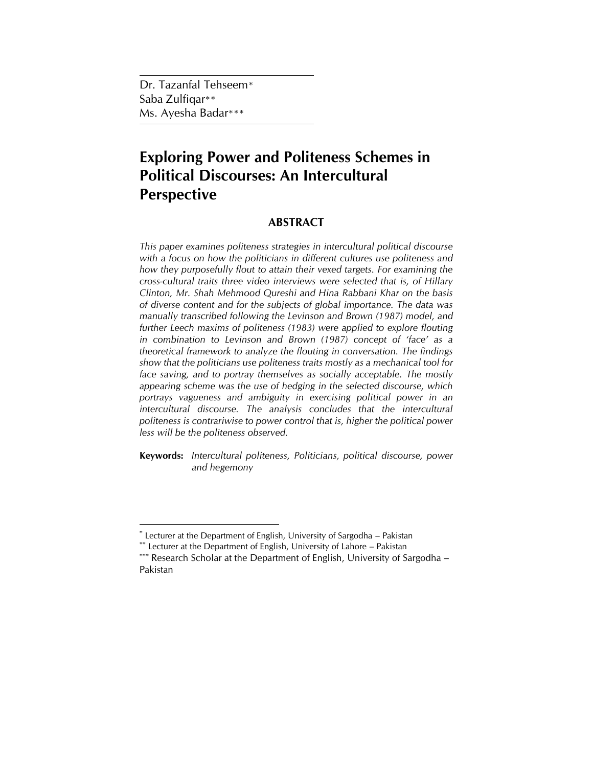Dr. Tazanfal Tehseem\* Saba Zulfiqar\*\* Ms. Ayesha Badar\*\*\*

# **Exploring Power and Politeness Schemes in Political Discourses: An Intercultural Perspective**

## **ABSTRACT**

*This paper examines politeness strategies in intercultural political discourse with a focus on how the politicians in different cultures use politeness and how they purposefully flout to attain their vexed targets. For examining the cross-cultural traits three video interviews were selected that is, of Hillary Clinton, Mr. Shah Mehmood Qureshi and Hina Rabbani Khar on the basis of diverse content and for the subjects of global importance. The data was manually transcribed following the Levinson and Brown (1987) model, and further Leech maxims of politeness (1983) were applied to explore flouting in combination to Levinson and Brown (1987) concept of 'face' as a theoretical framework to analyze the flouting in conversation. The findings show that the politicians use politeness traits mostly as a mechanical tool for*  face saving, and to portray themselves as socially acceptable. The mostly *appearing scheme was the use of hedging in the selected discourse, which portrays vagueness and ambiguity in exercising political power in an intercultural discourse. The analysis concludes that the intercultural politeness is contrariwise to power control that is, higher the political power less will be the politeness observed.* 

**Keywords:** *Intercultural politeness, Politicians, political discourse, power and hegemony*

 \* Lecturer at the Department of English, University of Sargodha – Pakistan

<sup>\*\*</sup> Lecturer at the Department of English, University of Lahore - Pakistan

<sup>\*\*\*</sup> Research Scholar at the Department of English, University of Sargodha – Pakistan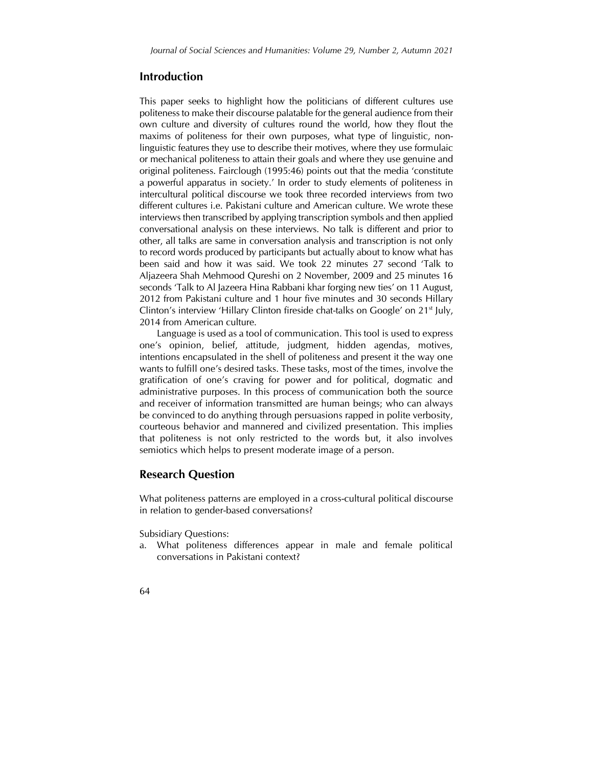### **Introduction**

This paper seeks to highlight how the politicians of different cultures use politeness to make their discourse palatable for the general audience from their own culture and diversity of cultures round the world, how they flout the maxims of politeness for their own purposes, what type of linguistic, nonlinguistic features they use to describe their motives, where they use formulaic or mechanical politeness to attain their goals and where they use genuine and original politeness. Fairclough (1995:46) points out that the media 'constitute a powerful apparatus in society.' In order to study elements of politeness in intercultural political discourse we took three recorded interviews from two different cultures i.e. Pakistani culture and American culture. We wrote these interviews then transcribed by applying transcription symbols and then applied conversational analysis on these interviews. No talk is different and prior to other, all talks are same in conversation analysis and transcription is not only to record words produced by participants but actually about to know what has been said and how it was said. We took 22 minutes 27 second 'Talk to Aljazeera Shah Mehmood Qureshi on 2 November, 2009 and 25 minutes 16 seconds 'Talk to Al Jazeera Hina Rabbani khar forging new ties' on 11 August, 2012 from Pakistani culture and 1 hour five minutes and 30 seconds Hillary Clinton's interview 'Hillary Clinton fireside chat-talks on Google' on  $21<sup>st</sup>$  July, 2014 from American culture.

Language is used as a tool of communication. This tool is used to express one's opinion, belief, attitude, judgment, hidden agendas, motives, intentions encapsulated in the shell of politeness and present it the way one wants to fulfill one's desired tasks. These tasks, most of the times, involve the gratification of one's craving for power and for political, dogmatic and administrative purposes. In this process of communication both the source and receiver of information transmitted are human beings; who can always be convinced to do anything through persuasions rapped in polite verbosity, courteous behavior and mannered and civilized presentation. This implies that politeness is not only restricted to the words but, it also involves semiotics which helps to present moderate image of a person.

## **Research Question**

What politeness patterns are employed in a cross-cultural political discourse in relation to gender-based conversations?

Subsidiary Questions:

- a. What politeness differences appear in male and female political conversations in Pakistani context?
- 64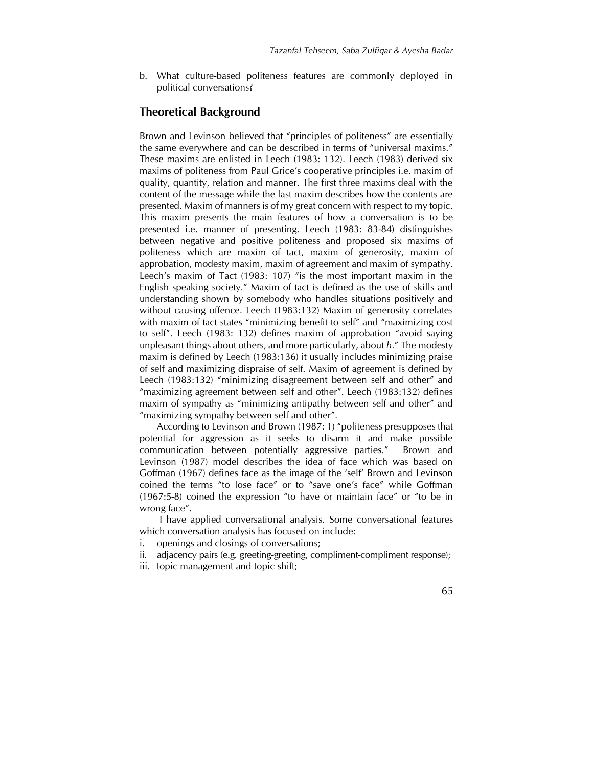b. What culture-based politeness features are commonly deployed in political conversations?

## **Theoretical Background**

Brown and Levinson believed that "principles of politeness" are essentially the same everywhere and can be described in terms of "universal maxims." These maxims are enlisted in Leech (1983: 132). Leech (1983) derived six maxims of politeness from Paul Grice's cooperative principles i.e. maxim of quality, quantity, relation and manner. The first three maxims deal with the content of the message while the last maxim describes how the contents are presented. Maxim of manners is of my great concern with respect to my topic. This maxim presents the main features of how a conversation is to be presented i.e. manner of presenting. Leech (1983: 83-84) distinguishes between negative and positive politeness and proposed six maxims of politeness which are maxim of tact, maxim of generosity, maxim of approbation, modesty maxim, maxim of agreement and maxim of sympathy. Leech's maxim of Tact (1983: 107) "is the most important maxim in the English speaking society." Maxim of tact is defined as the use of skills and understanding shown by somebody who handles situations positively and without causing offence. Leech (1983:132) Maxim of generosity correlates with maxim of tact states "minimizing benefit to self" and "maximizing cost to self". Leech (1983: 132) defines maxim of approbation "avoid saying unpleasant things about others, and more particularly, about *h*." The modesty maxim is defined by Leech (1983:136) it usually includes minimizing praise of self and maximizing dispraise of self. Maxim of agreement is defined by Leech (1983:132) "minimizing disagreement between self and other" and "maximizing agreement between self and other". Leech (1983:132) defines maxim of sympathy as "minimizing antipathy between self and other" and "maximizing sympathy between self and other".

According to Levinson and Brown (1987: 1) "politeness presupposes that potential for aggression as it seeks to disarm it and make possible communication between potentially aggressive parties." Brown and Levinson (1987) model describes the idea of face which was based on Goffman (1967) defines face as the image of the 'self' Brown and Levinson coined the terms "to lose face" or to "save one's face" while Goffman (1967:5-8) coined the expression "to have or maintain face" or "to be in wrong face".

I have applied conversational analysis. Some conversational features which conversation analysis has focused on include:

- i. openings and closings of conversations;
- ii. adjacency pairs (e.g. greeting-greeting, compliment-compliment response);
- iii. topic management and topic shift;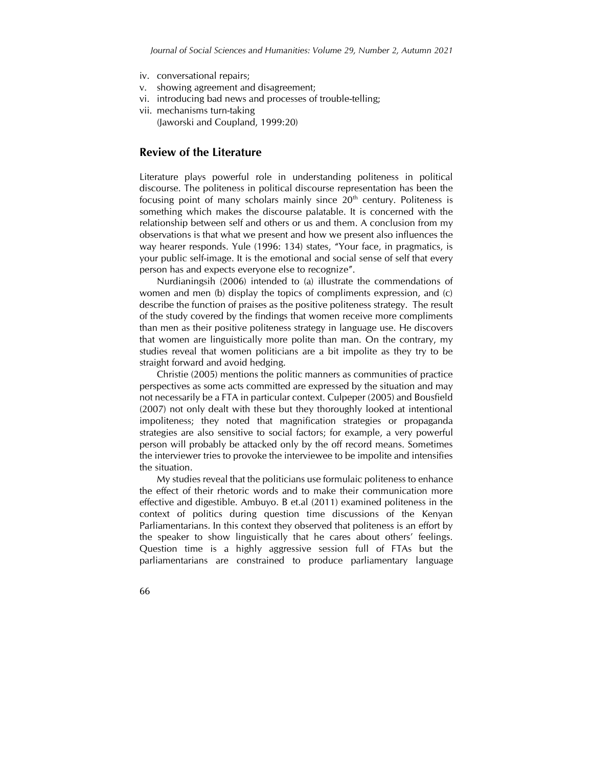- iv. conversational repairs;
- v. showing agreement and disagreement;
- vi. introducing bad news and processes of trouble-telling;
- vii. mechanisms turn-taking (Jaworski and Coupland, 1999:20)

## **Review of the Literature**

Literature plays powerful role in understanding politeness in political discourse. The politeness in political discourse representation has been the focusing point of many scholars mainly since  $20<sup>th</sup>$  century. Politeness is something which makes the discourse palatable. It is concerned with the relationship between self and others or us and them. A conclusion from my observations is that what we present and how we present also influences the way hearer responds. Yule (1996: 134) states, "Your face, in pragmatics, is your public self-image. It is the emotional and social sense of self that every person has and expects everyone else to recognize".

Nurdianingsih (2006) intended to (a) illustrate the commendations of women and men (b) display the topics of compliments expression, and (c) describe the function of praises as the positive politeness strategy. The result of the study covered by the findings that women receive more compliments than men as their positive politeness strategy in language use. He discovers that women are linguistically more polite than man. On the contrary, my studies reveal that women politicians are a bit impolite as they try to be straight forward and avoid hedging.

Christie (2005) mentions the politic manners as communities of practice perspectives as some acts committed are expressed by the situation and may not necessarily be a FTA in particular context. Culpeper (2005) and Bousfield (2007) not only dealt with these but they thoroughly looked at intentional impoliteness; they noted that magnification strategies or propaganda strategies are also sensitive to social factors; for example, a very powerful person will probably be attacked only by the off record means. Sometimes the interviewer tries to provoke the interviewee to be impolite and intensifies the situation.

My studies reveal that the politicians use formulaic politeness to enhance the effect of their rhetoric words and to make their communication more effective and digestible. Ambuyo. B et.al (2011) examined politeness in the context of politics during question time discussions of the Kenyan Parliamentarians. In this context they observed that politeness is an effort by the speaker to show linguistically that he cares about others' feelings. Question time is a highly aggressive session full of FTAs but the parliamentarians are constrained to produce parliamentary language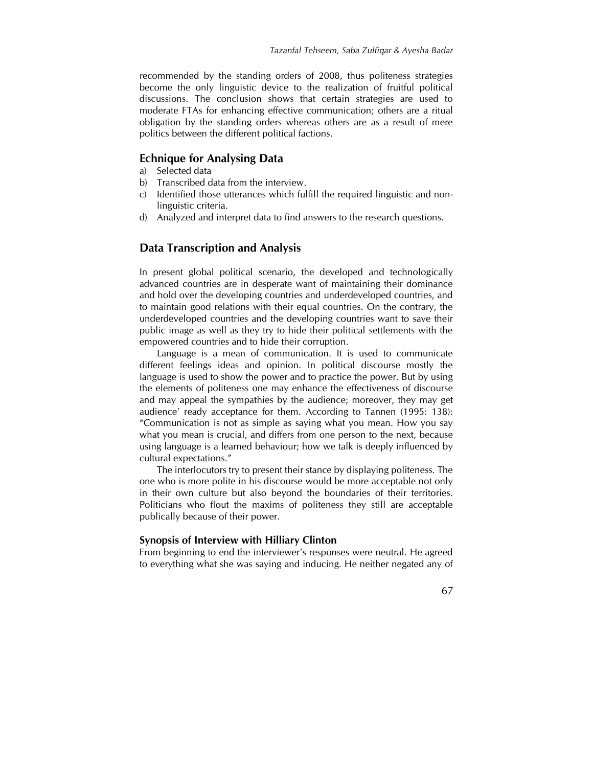recommended by the standing orders of 2008, thus politeness strategies become the only linguistic device to the realization of fruitful political discussions. The conclusion shows that certain strategies are used to moderate FTAs for enhancing effective communication; others are a ritual obligation by the standing orders whereas others are as a result of mere politics between the different political factions.

## **Echnique for Analysing Data**

- a) Selected data
- b) Transcribed data from the interview.
- c) Identified those utterances which fulfill the required linguistic and nonlinguistic criteria.
- d) Analyzed and interpret data to find answers to the research questions.

#### **Data Transcription and Analysis**

In present global political scenario, the developed and technologically advanced countries are in desperate want of maintaining their dominance and hold over the developing countries and underdeveloped countries, and to maintain good relations with their equal countries. On the contrary, the underdeveloped countries and the developing countries want to save their public image as well as they try to hide their political settlements with the empowered countries and to hide their corruption.

Language is a mean of communication. It is used to communicate different feelings ideas and opinion. In political discourse mostly the language is used to show the power and to practice the power. But by using the elements of politeness one may enhance the effectiveness of discourse and may appeal the sympathies by the audience; moreover, they may get audience' ready acceptance for them. According to Tannen (1995: 138): "Communication is not as simple as saying what you mean. How you say what you mean is crucial, and differs from one person to the next, because using language is a learned behaviour; how we talk is deeply influenced by cultural expectations."

The interlocutors try to present their stance by displaying politeness. The one who is more polite in his discourse would be more acceptable not only in their own culture but also beyond the boundaries of their territories. Politicians who flout the maxims of politeness they still are acceptable publically because of their power.

#### **Synopsis of Interview with Hilliary Clinton**

From beginning to end the interviewer's responses were neutral. He agreed to everything what she was saying and inducing. He neither negated any of

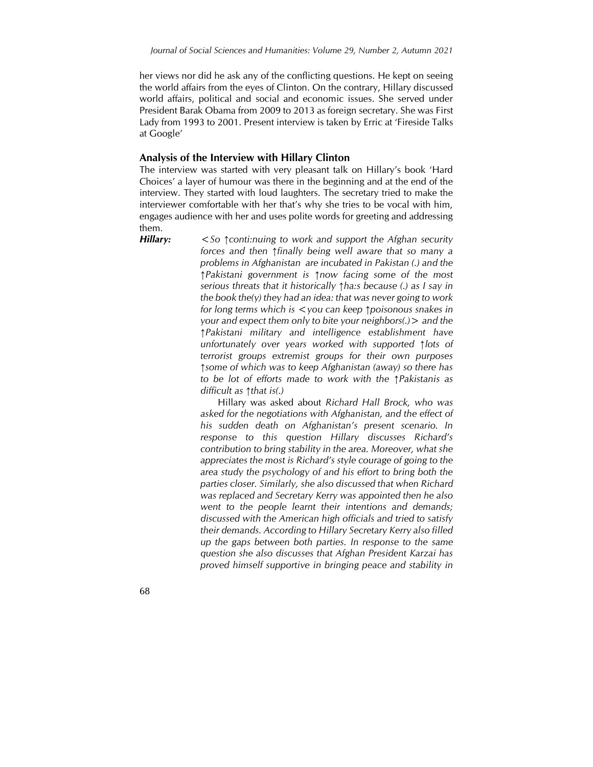her views nor did he ask any of the conflicting questions. He kept on seeing the world affairs from the eyes of Clinton. On the contrary, Hillary discussed world affairs, political and social and economic issues. She served under President Barak Obama from 2009 to 2013 as foreign secretary. She was First Lady from 1993 to 2001. Present interview is taken by Erric at 'Fireside Talks at Google'

#### **Analysis of the Interview with Hillary Clinton**

The interview was started with very pleasant talk on Hillary's book 'Hard Choices' a layer of humour was there in the beginning and at the end of the interview. They started with loud laughters. The secretary tried to make the interviewer comfortable with her that's why she tries to be vocal with him, engages audience with her and uses polite words for greeting and addressing them.

*Hillary: <So ↑conti:nuing to work and support the Afghan security forces and then ↑finally being well aware that so many a problems in Afghanistan are incubated in Pakistan (.) and the ↑Pakistani government is ↑now facing some of the most serious threats that it historically ↑ha:s because (.) as I say in the book the(y) they had an idea: that was never going to work for long terms which is <you can keep ↑poisonous snakes in your and expect them only to bite your neighbors(.)> and the ↑Pakistani military and intelligence establishment have unfortunately over years worked with supported ↑lots of terrorist groups extremist groups for their own purposes ↑some of which was to keep Afghanistan (away) so there has to be lot of efforts made to work with the ↑Pakistanis as difficult as ↑that is(.)*

> Hillary was asked about *Richard Hall Brock, who was asked for the negotiations with Afghanistan, and the effect of his sudden death on Afghanistan's present scenario. In response to this question Hillary discusses Richard's contribution to bring stability in the area. Moreover, what she appreciates the most is Richard's style courage of going to the area study the psychology of and his effort to bring both the parties closer. Similarly, she also discussed that when Richard was replaced and Secretary Kerry was appointed then he also went to the people learnt their intentions and demands; discussed with the American high officials and tried to satisfy their demands. According to Hillary Secretary Kerry also filled up the gaps between both parties. In response to the same question she also discusses that Afghan President Karzai has proved himself supportive in bringing peace and stability in*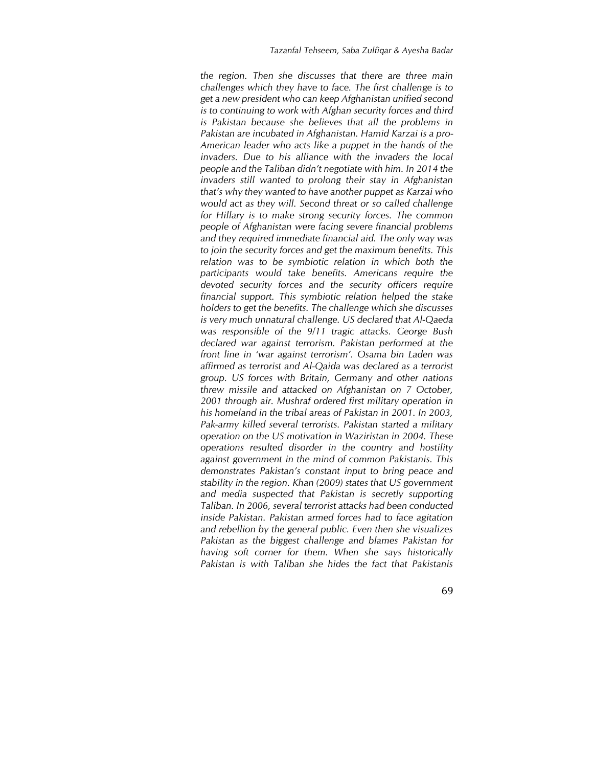*the region. Then she discusses that there are three main challenges which they have to face. The first challenge is to get a new president who can keep Afghanistan unified second is to continuing to work with Afghan security forces and third is Pakistan because she believes that all the problems in Pakistan are incubated in Afghanistan. Hamid Karzai is a pro-American leader who acts like a puppet in the hands of the invaders. Due to his alliance with the invaders the local people and the Taliban didn't negotiate with him. In 2014 the invaders still wanted to prolong their stay in Afghanistan that's why they wanted to have another puppet as Karzai who would act as they will. Second threat or so called challenge for Hillary is to make strong security forces. The common people of Afghanistan were facing severe financial problems and they required immediate financial aid. The only way was to join the security forces and get the maximum benefits. This relation was to be symbiotic relation in which both the participants would take benefits. Americans require the devoted security forces and the security officers require financial support. This symbiotic relation helped the stake holders to get the benefits. The challenge which she discusses is very much unnatural challenge. US declared that Al-Qaeda was responsible of the 9/11 tragic attacks. George Bush declared war against terrorism. Pakistan performed at the front line in 'war against terrorism'. Osama bin Laden was affirmed as terrorist and Al-Qaida was declared as a terrorist group. US forces with Britain, Germany and other nations threw missile and attacked on Afghanistan on 7 October, 2001 through air. Mushraf ordered first military operation in his homeland in the tribal areas of Pakistan in 2001. In 2003, Pak-army killed several terrorists. Pakistan started a military operation on the US motivation in Waziristan in 2004. These operations resulted disorder in the country and hostility against government in the mind of common Pakistanis. This demonstrates Pakistan's constant input to bring peace and stability in the region. Khan (2009) states that US government and media suspected that Pakistan is secretly supporting Taliban. In 2006, several terrorist attacks had been conducted inside Pakistan. Pakistan armed forces had to face agitation and rebellion by the general public. Even then she visualizes Pakistan as the biggest challenge and blames Pakistan for having soft corner for them. When she says historically Pakistan is with Taliban she hides the fact that Pakistanis*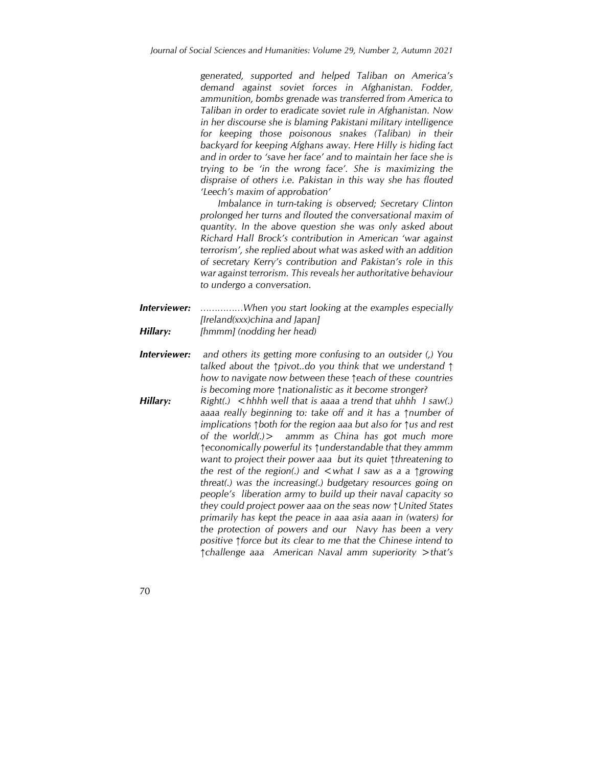*generated, supported and helped Taliban on America's demand against soviet forces in Afghanistan. Fodder, ammunition, bombs grenade was transferred from America to Taliban in order to eradicate soviet rule in Afghanistan. Now in her discourse she is blaming Pakistani military intelligence for keeping those poisonous snakes (Taliban) in their backyard for keeping Afghans away. Here Hilly is hiding fact and in order to 'save her face' and to maintain her face she is trying to be 'in the wrong face'. She is maximizing the dispraise of others i.e. Pakistan in this way she has flouted 'Leech's maxim of approbation'* 

*Imbalance in turn-taking is observed; Secretary Clinton prolonged her turns and flouted the conversational maxim of quantity. In the above question she was only asked about Richard Hall Brock's contribution in American 'war against terrorism', she replied about what was asked with an addition of secretary Kerry's contribution and Pakistan's role in this war against terrorism. This reveals her authoritative behaviour to undergo a conversation.*

- *Interviewer: ……………When you start looking at the examples especially [Ireland(xxx)china and Japan] Hillary: [hmmm] (nodding her head)*
- *Interviewer: and others its getting more confusing to an outsider (,) You talked about the ↑pivot..do you think that we understand ↑ how to navigate now between these ↑each of these countries is becoming more ↑nationalistic as it become stronger?*
- *Hillary: Right(.)* <*hhhh well that is aaaa a trend that uhhh I saw(.) aaaa really beginning to: take off and it has a ↑number of implications ↑both for the region aaa but also for ↑us and rest of the world(.)> ammm as China has got much more ↑economically powerful its ↑understandable that they ammm want to project their power aaa but its quiet ↑threatening to the rest of the region(.) and <what I saw as a a ↑growing threat(.) was the increasing(.) budgetary resources going on people's liberation army to build up their naval capacity so they could project power aaa on the seas now ↑United States primarily has kept the peace in aaa asia aaan in (waters) for the protection of powers and our Navy has been a very positive ↑force but its clear to me that the Chinese intend to ↑challenge aaa American Naval amm superiority >that's*
- 70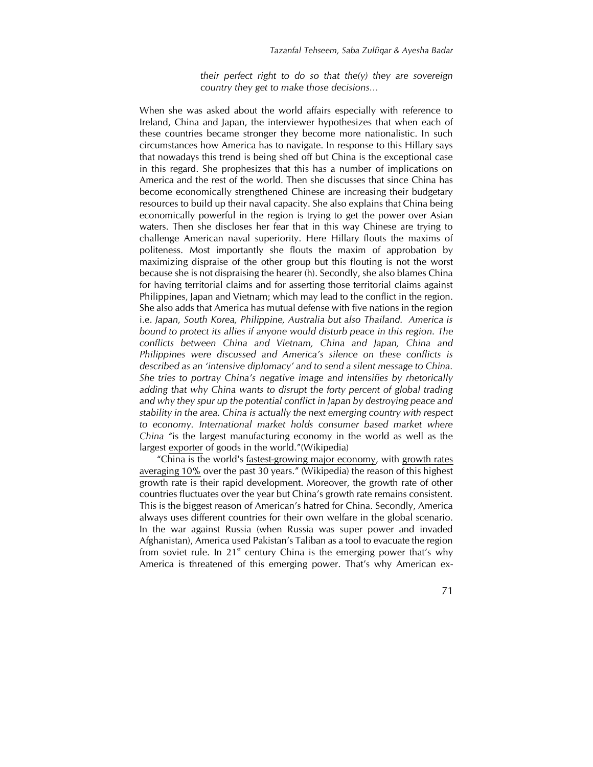*their perfect right to do so that the(y) they are sovereign country they get to make those decisions…*

When she was asked about the world affairs especially with reference to Ireland, China and Japan, the interviewer hypothesizes that when each of these countries became stronger they become more nationalistic. In such circumstances how America has to navigate. In response to this Hillary says that nowadays this trend is being shed off but China is the exceptional case in this regard. She prophesizes that this has a number of implications on America and the rest of the world. Then she discusses that since China has become economically strengthened Chinese are increasing their budgetary resources to build up their naval capacity. She also explains that China being economically powerful in the region is trying to get the power over Asian waters. Then she discloses her fear that in this way Chinese are trying to challenge American naval superiority. Here Hillary flouts the maxims of politeness. Most importantly she flouts the maxim of approbation by maximizing dispraise of the other group but this flouting is not the worst because she is not dispraising the hearer (h). Secondly, she also blames China for having territorial claims and for asserting those territorial claims against Philippines, Japan and Vietnam; which may lead to the conflict in the region. She also adds that America has mutual defense with five nations in the region i.e. *Japan, South Korea, Philippine, Australia but also Thailand. America is bound to protect its allies if anyone would disturb peace in this region. The conflicts between China and Vietnam, China and Japan, China and Philippines were discussed and America's silence on these conflicts is described as an 'intensive diplomacy' and to send a silent message to China. She tries to portray China's negative image and intensifies by rhetorically adding that why China wants to disrupt the forty percent of global trading and why they spur up the potential conflict in Japan by destroying peace and stability in the area. China is actually the next emerging country with respect to economy. International market holds consumer based market where China "*is the largest manufacturing economy in the world as well as the largest [exporter](http://en.wikipedia.org/wiki/Export) of goods in the world."(Wikipedia)

"China is the world's [fastest-growing major economy,](http://en.wikipedia.org/wiki/List_of_countries_by_real_GDP_growth_rate_%28latest_year%29) with [growth rates](http://en.wikipedia.org/wiki/Historical_GDP_of_the_People%27s_Republic_of_China)  [averaging 10%](http://en.wikipedia.org/wiki/Historical_GDP_of_the_People%27s_Republic_of_China) over the past 30 years." (Wikipedia) the reason of this highest growth rate is their rapid development. Moreover, the growth rate of other countries fluctuates over the year but China's growth rate remains consistent. This is the biggest reason of American's hatred for China. Secondly, America always uses different countries for their own welfare in the global scenario. In the war against Russia (when Russia was super power and invaded Afghanistan), America used Pakistan's Taliban as a tool to evacuate the region from soviet rule. In  $21^{st}$  century China is the emerging power that's why America is threatened of this emerging power. That's why American ex-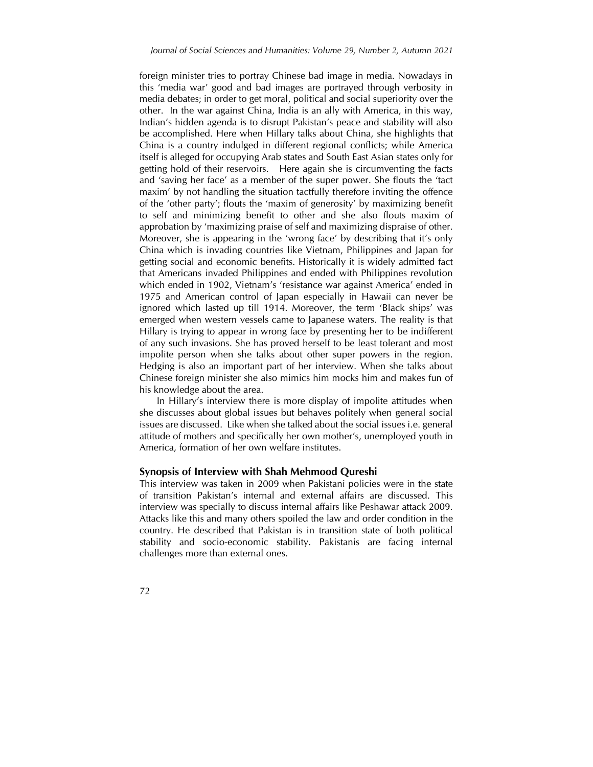foreign minister tries to portray Chinese bad image in media. Nowadays in this 'media war' good and bad images are portrayed through verbosity in media debates; in order to get moral, political and social superiority over the other. In the war against China, India is an ally with America, in this way, Indian's hidden agenda is to disrupt Pakistan's peace and stability will also be accomplished. Here when Hillary talks about China, she highlights that China is a country indulged in different regional conflicts; while America itself is alleged for occupying Arab states and South East Asian states only for getting hold of their reservoirs. Here again she is circumventing the facts and 'saving her face' as a member of the super power. She flouts the 'tact maxim' by not handling the situation tactfully therefore inviting the offence of the 'other party'; flouts the 'maxim of generosity' by maximizing benefit to self and minimizing benefit to other and she also flouts maxim of approbation by 'maximizing praise of self and maximizing dispraise of other. Moreover, she is appearing in the 'wrong face' by describing that it's only China which is invading countries like Vietnam, Philippines and Japan for getting social and economic benefits. Historically it is widely admitted fact that Americans invaded Philippines and ended with Philippines revolution which ended in 1902, Vietnam's 'resistance war against America' ended in 1975 and American control of Japan especially in Hawaii can never be ignored which lasted up till 1914. Moreover, the term 'Black ships' was emerged when western vessels came to Japanese waters. The reality is that Hillary is trying to appear in wrong face by presenting her to be indifferent of any such invasions. She has proved herself to be least tolerant and most impolite person when she talks about other super powers in the region. Hedging is also an important part of her interview. When she talks about Chinese foreign minister she also mimics him mocks him and makes fun of his knowledge about the area.

In Hillary's interview there is more display of impolite attitudes when she discusses about global issues but behaves politely when general social issues are discussed. Like when she talked about the social issues i.e. general attitude of mothers and specifically her own mother's, unemployed youth in America, formation of her own welfare institutes.

#### **Synopsis of Interview with Shah Mehmood Qureshi**

This interview was taken in 2009 when Pakistani policies were in the state of transition Pakistan's internal and external affairs are discussed. This interview was specially to discuss internal affairs like Peshawar attack 2009. Attacks like this and many others spoiled the law and order condition in the country. He described that Pakistan is in transition state of both political stability and socio-economic stability. Pakistanis are facing internal challenges more than external ones.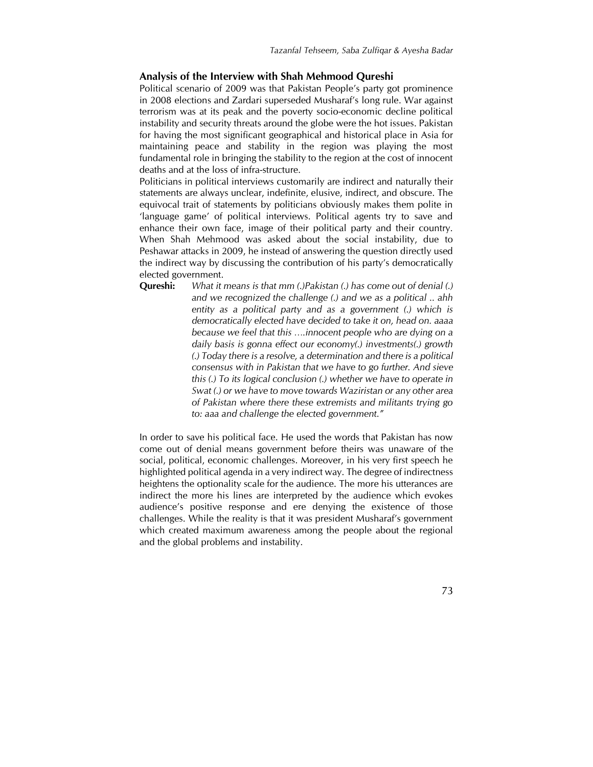## **Analysis of the Interview with Shah Mehmood Qureshi**

Political scenario of 2009 was that Pakistan People's party got prominence in 2008 elections and Zardari superseded Musharaf's long rule. War against terrorism was at its peak and the poverty socio-economic decline political instability and security threats around the globe were the hot issues. Pakistan for having the most significant geographical and historical place in Asia for maintaining peace and stability in the region was playing the most fundamental role in bringing the stability to the region at the cost of innocent deaths and at the loss of infra-structure.

Politicians in political interviews customarily are indirect and naturally their statements are always unclear, indefinite, elusive, indirect, and obscure. The equivocal trait of statements by politicians obviously makes them polite in 'language game' of political interviews. Political agents try to save and enhance their own face, image of their political party and their country. When Shah Mehmood was asked about the social instability, due to Peshawar attacks in 2009, he instead of answering the question directly used the indirect way by discussing the contribution of his party's democratically elected government.

**Qureshi:** *What it means is that mm (.)Pakistan (.) has come out of denial (.) and we recognized the challenge (.) and we as a political .. ahh entity as a political party and as a government (.) which is democratically elected have decided to take it on, head on. aaaa because we feel that this ….innocent people who are dying on a daily basis is gonna effect our economy(.) investments(.) growth (.) Today there is a resolve, a determination and there is a political consensus with in Pakistan that we have to go further. And sieve this (.) To its logical conclusion (.) whether we have to operate in Swat (.) or we have to move towards Waziristan or any other area of Pakistan where there these extremists and militants trying go to: aaa and challenge the elected government."*

In order to save his political face. He used the words that Pakistan has now come out of denial means government before theirs was unaware of the social, political, economic challenges. Moreover, in his very first speech he highlighted political agenda in a very indirect way. The degree of indirectness heightens the optionality scale for the audience. The more his utterances are indirect the more his lines are interpreted by the audience which evokes audience's positive response and ere denying the existence of those challenges. While the reality is that it was president Musharaf's government which created maximum awareness among the people about the regional and the global problems and instability.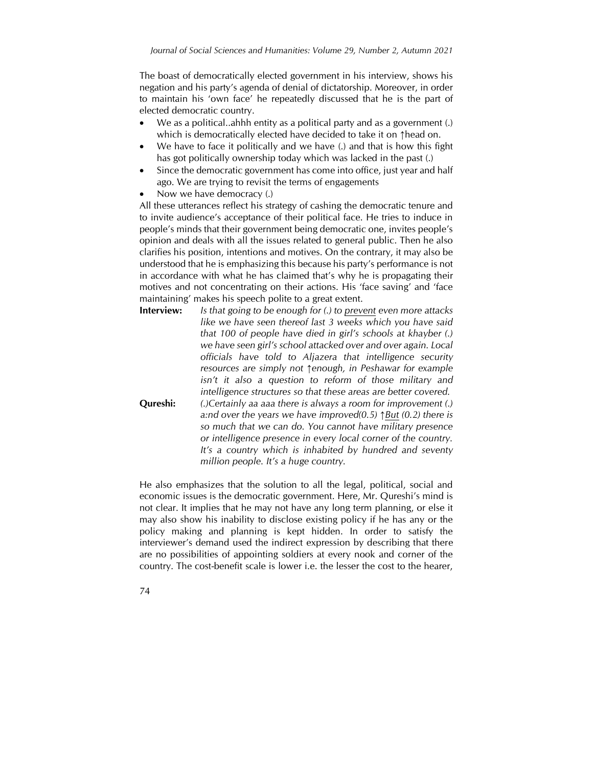The boast of democratically elected government in his interview, shows his negation and his party's agenda of denial of dictatorship. Moreover, in order to maintain his 'own face' he repeatedly discussed that he is the part of elected democratic country.

- We as a political..ahhh entity as a political party and as a government (.) which is democratically elected have decided to take it on ↑head on.
- We have to face it politically and we have (.) and that is how this fight has got politically ownership today which was lacked in the past (.)
- Since the democratic government has come into office, just year and half ago. We are trying to revisit the terms of engagements
- Now we have democracy (.)

All these utterances reflect his strategy of cashing the democratic tenure and to invite audience's acceptance of their political face. He tries to induce in people's minds that their government being democratic one, invites people's opinion and deals with all the issues related to general public. Then he also clarifies his position, intentions and motives. On the contrary, it may also be understood that he is emphasizing this because his party's performance is not in accordance with what he has claimed that's why he is propagating their motives and not concentrating on their actions. His 'face saving' and 'face maintaining' makes his speech polite to a great extent.

- **Interview:** *Is that going to be enough for (.) to prevent even more attacks like we have seen thereof last 3 weeks which you have said that 100 of people have died in girl's schools at khayber (.) we have seen girl's school attacked over and over again. Local officials have told to Aljazera that intelligence security resources are simply not ↑enough, in Peshawar for example isn't it also a question to reform of those military and intelligence structures so that these areas are better covered.* **Qureshi:** *(.)Certainly aa aaa there is always a room for improvement (.) a:nd over the years we have improved(0.5) ↑But (0.2) there is* 
	- *so much that we can do. You cannot have military presence or intelligence presence in every local corner of the country. It's a country which is inhabited by hundred and seventy million people. It's a huge country.*

He also emphasizes that the solution to all the legal, political, social and economic issues is the democratic government. Here, Mr. Qureshi's mind is not clear. It implies that he may not have any long term planning, or else it may also show his inability to disclose existing policy if he has any or the policy making and planning is kept hidden. In order to satisfy the interviewer's demand used the indirect expression by describing that there are no possibilities of appointing soldiers at every nook and corner of the country. The cost-benefit scale is lower i.e. the lesser the cost to the hearer,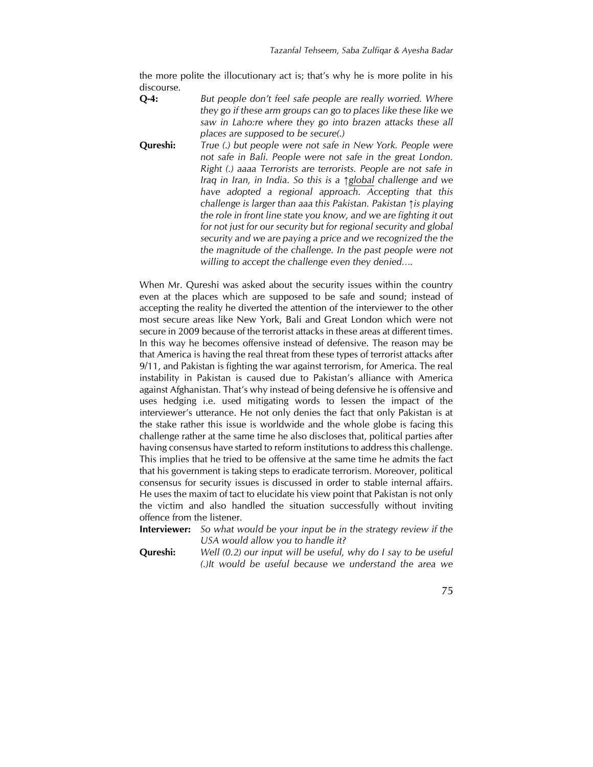the more polite the illocutionary act is; that's why he is more polite in his discourse.

**Q-4:** *But people don't feel safe people are really worried. Where they go if these arm groups can go to places like these like we saw in Laho:re where they go into brazen attacks these all places are supposed to be secure(.)*

**Qureshi:** *True (.) but people were not safe in New York. People were not safe in Bali. People were not safe in the great London. Right (.) aaaa Terrorists are terrorists. People are not safe in Iraq in Iran, in India. So this is a ↑global challenge and we have adopted a regional approach. Accepting that this challenge is larger than aaa this Pakistan. Pakistan ↑is playing the role in front line state you know, and we are fighting it out for not just for our security but for regional security and global security and we are paying a price and we recognized the the the magnitude of the challenge. In the past people were not willing to accept the challenge even they denied….*

When Mr. Qureshi was asked about the security issues within the country even at the places which are supposed to be safe and sound; instead of accepting the reality he diverted the attention of the interviewer to the other most secure areas like New York, Bali and Great London which were not secure in 2009 because of the terrorist attacks in these areas at different times. In this way he becomes offensive instead of defensive. The reason may be that America is having the real threat from these types of terrorist attacks after 9/11, and Pakistan is fighting the war against terrorism, for America. The real instability in Pakistan is caused due to Pakistan's alliance with America against Afghanistan. That's why instead of being defensive he is offensive and uses hedging i.e. used mitigating words to lessen the impact of the interviewer's utterance. He not only denies the fact that only Pakistan is at the stake rather this issue is worldwide and the whole globe is facing this challenge rather at the same time he also discloses that, political parties after having consensus have started to reform institutions to address this challenge. This implies that he tried to be offensive at the same time he admits the fact that his government is taking steps to eradicate terrorism. Moreover, political consensus for security issues is discussed in order to stable internal affairs. He uses the maxim of tact to elucidate his view point that Pakistan is not only the victim and also handled the situation successfully without inviting offence from the listener.

**Interviewer:** *So what would be your input be in the strategy review if the USA would allow you to handle it?*

**Qureshi:** *Well (0.2) our input will be useful, why do I say to be useful (.)It would be useful because we understand the area we*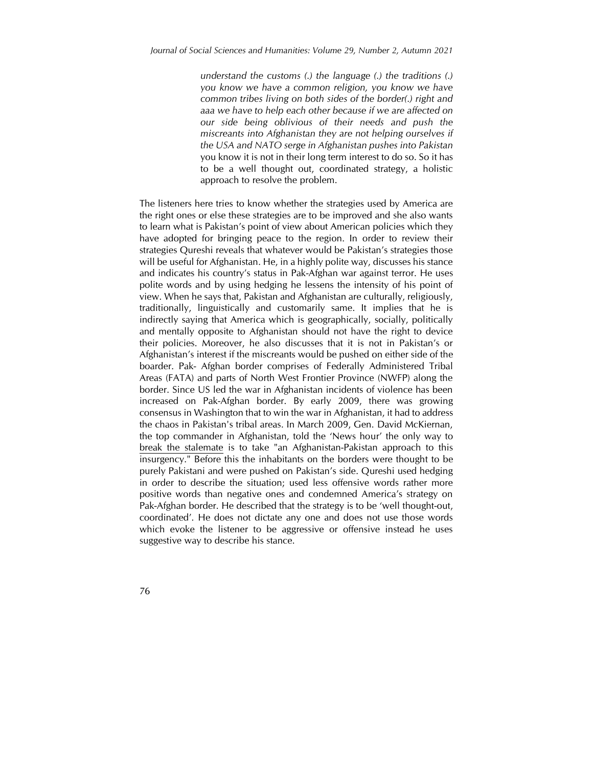*understand the customs (.) the language (.) the traditions (.) you know we have a common religion, you know we have common tribes living on both sides of the border(.) right and aaa we have to help each other because if we are affected on our side being oblivious of their needs and push the miscreants into Afghanistan they are not helping ourselves if the USA and NATO serge in Afghanistan pushes into Pakistan*  you know it is not in their long term interest to do so. So it has to be a well thought out, coordinated strategy, a holistic approach to resolve the problem.

The listeners here tries to know whether the strategies used by America are the right ones or else these strategies are to be improved and she also wants to learn what is Pakistan's point of view about American policies which they have adopted for bringing peace to the region. In order to review their strategies Qureshi reveals that whatever would be Pakistan's strategies those will be useful for Afghanistan. He, in a highly polite way, discusses his stance and indicates his country's status in Pak-Afghan war against terror. He uses polite words and by using hedging he lessens the intensity of his point of view. When he says that, Pakistan and Afghanistan are culturally, religiously, traditionally, linguistically and customarily same. It implies that he is indirectly saying that America which is geographically, socially, politically and mentally opposite to Afghanistan should not have the right to device their policies. Moreover, he also discusses that it is not in Pakistan's or Afghanistan's interest if the miscreants would be pushed on either side of the boarder. Pak- Afghan border comprises of Federally Administered Tribal Areas (FATA) and parts of North West Frontier Province (NWFP) along the border. Since US led the war in Afghanistan incidents of violence has been increased on Pak-Afghan border. By early 2009, there was growing consensus in Washington that to win the war in Afghanistan, it had to address the chaos in Pakistan's tribal areas. In March 2009, Gen. David McKiernan, the top commander in Afghanistan, told the 'News hour' the only way to [break the stalemate](http://www.pbs.org/newshour/bb/asia/jan-june09/mckiernan_03-17.html) is to take "an Afghanistan-Pakistan approach to this insurgency." Before this the inhabitants on the borders were thought to be purely Pakistani and were pushed on Pakistan's side. Qureshi used hedging in order to describe the situation; used less offensive words rather more positive words than negative ones and condemned America's strategy on Pak-Afghan border. He described that the strategy is to be 'well thought-out, coordinated'. He does not dictate any one and does not use those words which evoke the listener to be aggressive or offensive instead he uses suggestive way to describe his stance.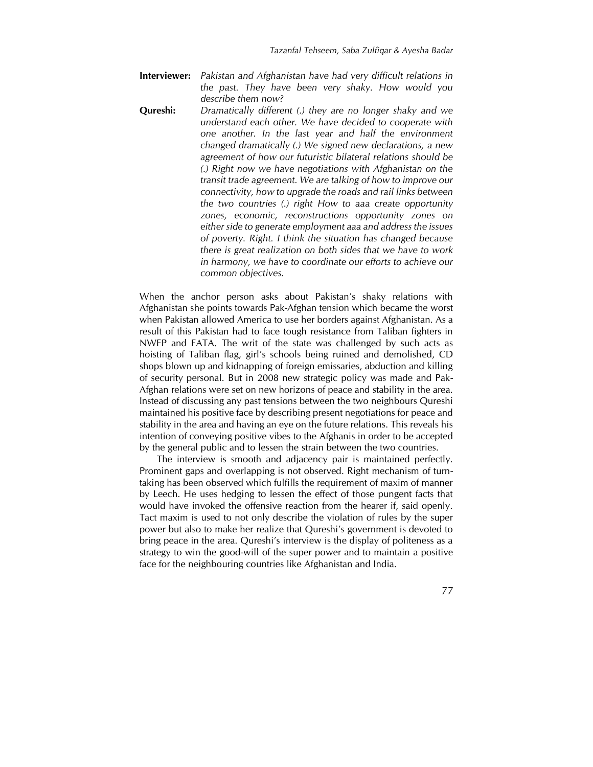- **Interviewer:** *Pakistan and Afghanistan have had very difficult relations in the past. They have been very shaky. How would you describe them now?*
- **Qureshi:** *Dramatically different (.) they are no longer shaky and we understand each other. We have decided to cooperate with one another. In the last year and half the environment changed dramatically (.) We signed new declarations, a new agreement of how our futuristic bilateral relations should be (.) Right now we have negotiations with Afghanistan on the transit trade agreement. We are talking of how to improve our connectivity, how to upgrade the roads and rail links between the two countries (.) right How to aaa create opportunity zones, economic, reconstructions opportunity zones on either side to generate employment aaa and address the issues of poverty. Right. I think the situation has changed because there is great realization on both sides that we have to work in harmony, we have to coordinate our efforts to achieve our common objectives.*

When the anchor person asks about Pakistan's shaky relations with Afghanistan she points towards Pak-Afghan tension which became the worst when Pakistan allowed America to use her borders against Afghanistan. As a result of this Pakistan had to face tough resistance from Taliban fighters in NWFP and FATA. The writ of the state was challenged by such acts as hoisting of Taliban flag, girl's schools being ruined and demolished, CD shops blown up and kidnapping of foreign emissaries, abduction and killing of security personal. But in 2008 new strategic policy was made and Pak-Afghan relations were set on new horizons of peace and stability in the area. Instead of discussing any past tensions between the two neighbours Qureshi maintained his positive face by describing present negotiations for peace and stability in the area and having an eye on the future relations. This reveals his intention of conveying positive vibes to the Afghanis in order to be accepted by the general public and to lessen the strain between the two countries.

The interview is smooth and adjacency pair is maintained perfectly. Prominent gaps and overlapping is not observed. Right mechanism of turntaking has been observed which fulfills the requirement of maxim of manner by Leech. He uses hedging to lessen the effect of those pungent facts that would have invoked the offensive reaction from the hearer if, said openly. Tact maxim is used to not only describe the violation of rules by the super power but also to make her realize that Qureshi's government is devoted to bring peace in the area. Qureshi's interview is the display of politeness as a strategy to win the good-will of the super power and to maintain a positive face for the neighbouring countries like Afghanistan and India.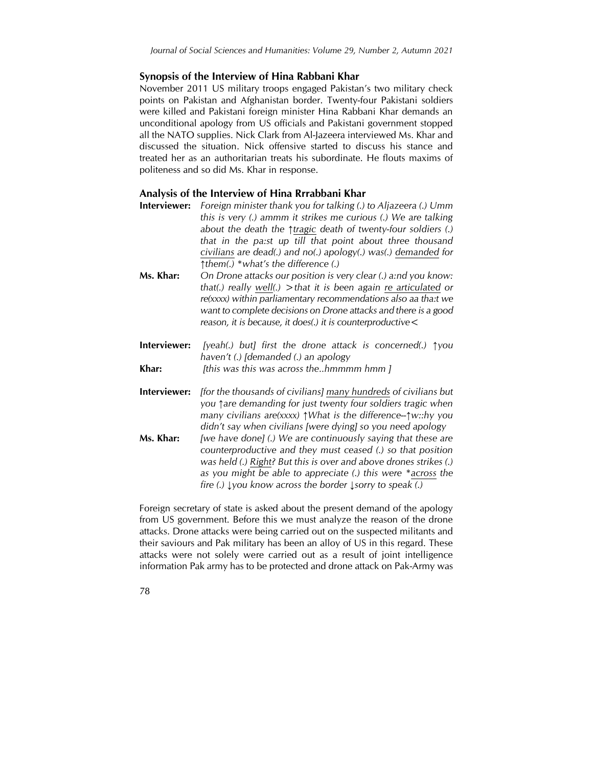#### **Synopsis of the Interview of Hina Rabbani Khar**

November 2011 US military troops engaged Pakistan's two military check points on Pakistan and Afghanistan border. Twenty-four Pakistani soldiers were killed and Pakistani foreign minister Hina Rabbani Khar demands an unconditional apology from US officials and Pakistani government stopped all the NATO supplies. Nick Clark from Al-Jazeera interviewed Ms. Khar and discussed the situation. Nick offensive started to discuss his stance and treated her as an authoritarian treats his subordinate. He flouts maxims of politeness and so did Ms. Khar in response.

#### **Analysis of the Interview of Hina Rrrabbani Khar**

- **Interviewer:** *Foreign minister thank you for talking (.) to Aljazeera (.) Umm this is very (.) ammm it strikes me curious (.) We are talking about the death the ↑tragic death of twenty-four soldiers (.) that in the pa:st up till that point about three thousand civilians are dead(.) and no(.) apology(.) was(.) demanded for ↑them(.) \*what's the difference (.)*
- **Ms. Khar:** *On Drone attacks our position is very clear (.) a:nd you know: that(.) really well(.) >that it is been again re articulated or re(xxxx) within parliamentary recommendations also aa tha:t we want to complete decisions on Drone attacks and there is a good reason, it is because, it does(.) it is counterproductive<*
- **Interviewer:** *[yeah(.) but] first the drone attack is concerned(.) ↑you haven't (.) [demanded (.) an apology*
- **Khar:** *[this was this was across the..hmmmm hmm ]*
- **Interviewer:** *[for the thousands of civilians] many hundreds of civilians but you ↑are demanding for just twenty four soldiers tragic when many civilians are(xxxx) ↑What is the difference--↑w::hy you didn't say when civilians [were dying] so you need apology*
- **Ms. Khar:** *[we have done] (.) We are continuously saying that these are counterproductive and they must ceased (.) so that position was held (.) Right? But this is over and above drones strikes (.) as you might be able to appreciate (.) this were \*across the fire (.) ↓you know across the border ↓sorry to speak (.)*

Foreign secretary of state is asked about the present demand of the apology from US government. Before this we must analyze the reason of the drone attacks. Drone attacks were being carried out on the suspected militants and their saviours and Pak military has been an alloy of US in this regard. These attacks were not solely were carried out as a result of joint intelligence information Pak army has to be protected and drone attack on Pak-Army was

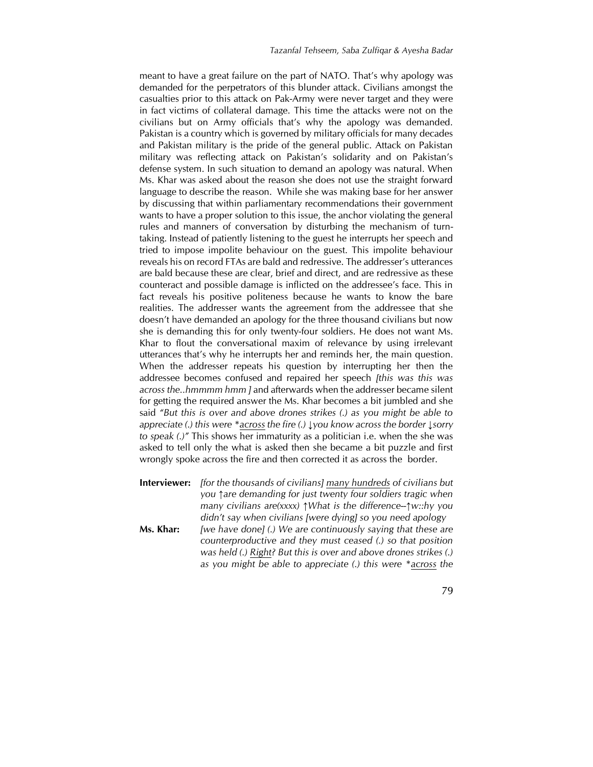meant to have a great failure on the part of NATO. That's why apology was demanded for the perpetrators of this blunder attack. Civilians amongst the casualties prior to this attack on Pak-Army were never target and they were in fact victims of collateral damage. This time the attacks were not on the civilians but on Army officials that's why the apology was demanded. Pakistan is a country which is governed by military officials for many decades and Pakistan military is the pride of the general public. Attack on Pakistan military was reflecting attack on Pakistan's solidarity and on Pakistan's defense system. In such situation to demand an apology was natural. When Ms. Khar was asked about the reason she does not use the straight forward language to describe the reason. While she was making base for her answer by discussing that within parliamentary recommendations their government wants to have a proper solution to this issue, the anchor violating the general rules and manners of conversation by disturbing the mechanism of turntaking. Instead of patiently listening to the guest he interrupts her speech and tried to impose impolite behaviour on the guest. This impolite behaviour reveals his on record FTAs are bald and redressive. The addresser's utterances are bald because these are clear, brief and direct, and are redressive as these counteract and possible damage is inflicted on the addressee's face. This in fact reveals his positive politeness because he wants to know the bare realities. The addresser wants the agreement from the addressee that she doesn't have demanded an apology for the three thousand civilians but now she is demanding this for only twenty-four soldiers. He does not want Ms. Khar to flout the conversational maxim of relevance by using irrelevant utterances that's why he interrupts her and reminds her, the main question. When the addresser repeats his question by interrupting her then the addressee becomes confused and repaired her speech *[this was this was across the..hmmmm hmm ]* and afterwards when the addresser became silent for getting the required answer the Ms. Khar becomes a bit jumbled and she said *"But this is over and above drones strikes (.) as you might be able to appreciate (.) this were \*across the fire (.) ↓you know across the border ↓sorry to speak (.)"* This shows her immaturity as a politician i.e. when the she was asked to tell only the what is asked then she became a bit puzzle and first wrongly spoke across the fire and then corrected it as across the border.

**Interviewer:** *[for the thousands of civilians] many hundreds of civilians but you ↑are demanding for just twenty four soldiers tragic when many civilians are(xxxx) ↑What is the difference--↑w::hy you didn't say when civilians [were dying] so you need apology* **Ms. Khar:** *[we have done] (.) We are continuously saying that these are counterproductive and they must ceased (.) so that position was held (.) Right? But this is over and above drones strikes (.) as you might be able to appreciate (.) this were \*across the*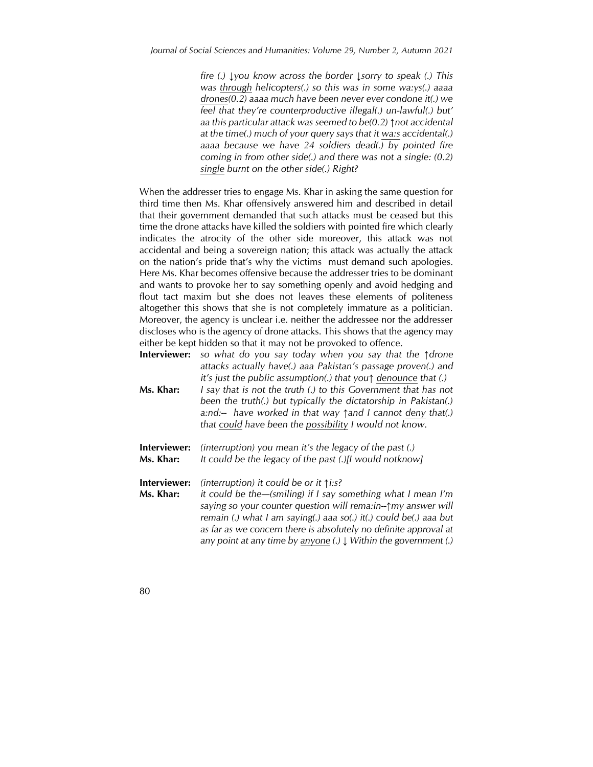*fire (.) ↓you know across the border ↓sorry to speak (.) This was through helicopters(.) so this was in some wa:ys(.) aaaa drones(0.2) aaaa much have been never ever condone it(.) we feel that they're counterproductive illegal(.) un-lawful(.) but' aa this particular attack was seemed to be(0.2) ↑not accidental at the time(.) much of your query says that it wa:s accidental(.) aaaa because we have 24 soldiers dead(.) by pointed fire coming in from other side(.) and there was not a single: (0.2) single burnt on the other side(.) Right?*

When the addresser tries to engage Ms. Khar in asking the same question for third time then Ms. Khar offensively answered him and described in detail that their government demanded that such attacks must be ceased but this time the drone attacks have killed the soldiers with pointed fire which clearly indicates the atrocity of the other side moreover, this attack was not accidental and being a sovereign nation; this attack was actually the attack on the nation's pride that's why the victims must demand such apologies. Here Ms. Khar becomes offensive because the addresser tries to be dominant and wants to provoke her to say something openly and avoid hedging and flout tact maxim but she does not leaves these elements of politeness altogether this shows that she is not completely immature as a politician. Moreover, the agency is unclear i.e. neither the addressee nor the addresser discloses who is the agency of drone attacks. This shows that the agency may either be kept hidden so that it may not be provoked to offence.

**Interviewer:** *so what do you say today when you say that the ↑drone attacks actually have(.) aaa Pakistan's passage proven(.) and it's just the public assumption(.) that you↑ denounce that (.)* **Ms. Khar:** *I say that is not the truth (.) to this Government that has not been the truth(.) but typically the dictatorship in Pakistan(.)* 

- *a:nd:-- have worked in that way ↑and I cannot deny that(.) that could have been the possibility I would not know.*
- **Interviewer:** *(interruption) you mean it's the legacy of the past (.)* **Ms. Khar:** *It could be the legacy of the past (.)[I would notknow]*

**Interviewer:** *(interruption) it could be or it ↑i:s?*

- **Ms. Khar:** *it could be the—(smiling) if I say something what I mean I'm saying so your counter question will rema:in--↑my answer will remain (.) what I am saying(.) aaa so(.) it(.) could be(.) aaa but as far as we concern there is absolutely no definite approval at any point at any time by anyone (.) ↓ Within the government (.)*
- 80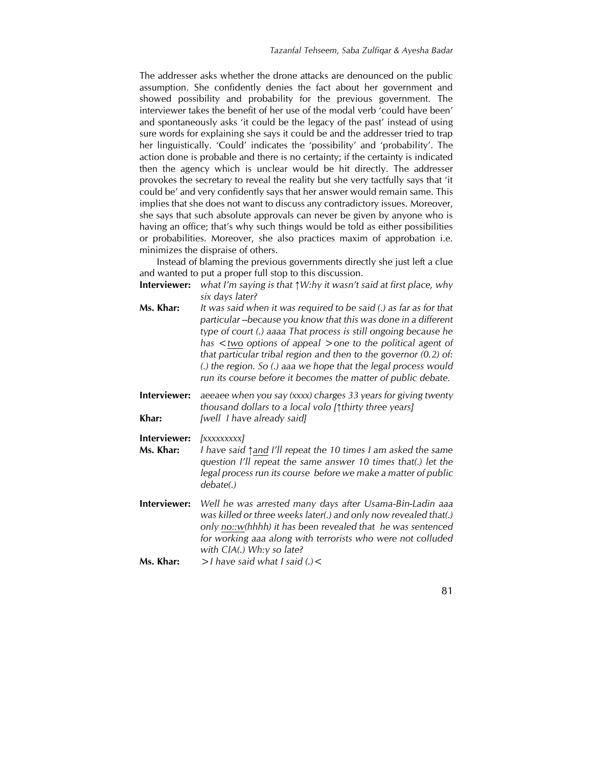The addresser asks whether the drone attacks are denounced on the public assumption. She confidently denies the fact about her government and showed possibility and probability for the previous government. The interviewer takes the benefit of her use of the modal verb 'could have been' and spontaneously asks 'it could be the legacy of the past' instead of using sure words for explaining she says it could be and the addresser tried to trap her linguistically. 'Could' indicates the 'possibility' and 'probability'. The action done is probable and there is no certainty; if the certainty is indicated then the agency which is unclear would be hit directly. The addresser provokes the secretary to reveal the reality but she very tactfully says that 'it could be' and very confidently says that her answer would remain same. This implies that she does not want to discuss any contradictory issues. Moreover, she says that such absolute approvals can never be given by anyone who is having an office; that's why such things would be told as either possibilities or probabilities. Moreover, she also practices maxim of approbation i.e. minimizes the dispraise of others.

Instead of blaming the previous governments directly she just left a clue and wanted to put a proper full stop to this discussion.

**Interviewer:** *what I'm saying is that ↑W:hy it wasn't said at first place, why six days later?*

| Ms. Khar: | It was said when it was required to be said (.) as far as for that  |
|-----------|---------------------------------------------------------------------|
|           | particular --because you know that this was done in a different     |
|           | type of court (.) aaaa That process is still ongoing because he     |
|           | has $\lt$ two options of appeal $\gt$ one to the political agent of |
|           | that particular tribal region and then to the governor $(0.2)$ of:  |
|           | (.) the region. So (.) aaa we hope that the legal process would     |
|           | run its course before it becomes the matter of public debate.       |
|           |                                                                     |

**Interviewer:** *aeeaee when you say (xxxx) charges 33 years for giving twenty thousand dollars to a local volo [↑thirty three years]* **Khar:** *[well I have already said]*

**Interviewer:** *[xxxxxxxxx]*

**Ms. Khar:** *I have said ↑and I'll repeat the 10 times I am asked the same question I'll repeat the same answer 10 times that(.) let the legal process run its course before we make a matter of public debate(.)*

**Interviewer:** *Well he was arrested many days after Usama-Bin-Ladin aaa was killed or three weeks later(.) and only now revealed that(.) only no::w(hhhh) it has been revealed that he was sentenced for working aaa along with terrorists who were not colluded with CIA(.) Wh:y so late?*

**Ms. Khar:** *>I have said what I said (.)<*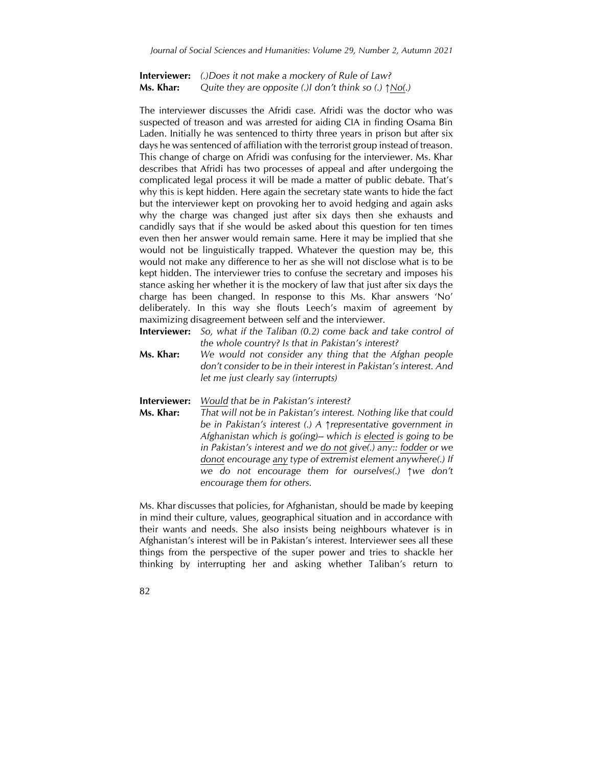**Interviewer:** *(.)Does it not make a mockery of Rule of Law?* **Ms. Khar:** *Quite they are opposite (.)I don't think so (.) ↑No(.)*

The interviewer discusses the Afridi case. Afridi was the doctor who was suspected of treason and was arrested for aiding CIA in finding Osama Bin Laden. Initially he was sentenced to thirty three years in prison but after six days he was sentenced of affiliation with the terrorist group instead of treason. This change of charge on Afridi was confusing for the interviewer. Ms. Khar describes that Afridi has two processes of appeal and after undergoing the complicated legal process it will be made a matter of public debate. That's why this is kept hidden. Here again the secretary state wants to hide the fact but the interviewer kept on provoking her to avoid hedging and again asks why the charge was changed just after six days then she exhausts and candidly says that if she would be asked about this question for ten times even then her answer would remain same. Here it may be implied that she would not be linguistically trapped. Whatever the question may be, this would not make any difference to her as she will not disclose what is to be kept hidden. The interviewer tries to confuse the secretary and imposes his stance asking her whether it is the mockery of law that just after six days the charge has been changed. In response to this Ms. Khar answers 'No' deliberately. In this way she flouts Leech's maxim of agreement by maximizing disagreement between self and the interviewer.

**Interviewer:** *So, what if the Taliban (0.2) come back and take control of the whole country? Is that in Pakistan's interest?*

**Ms. Khar:** *We would not consider any thing that the Afghan people don't consider to be in their interest in Pakistan's interest. And let me just clearly say (interrupts)*

**Interviewer:** *Would that be in Pakistan's interest?*

**Ms. Khar:** *That will not be in Pakistan's interest. Nothing like that could be in Pakistan's interest (.) A ↑representative government in Afghanistan which is go(ing)-- which is elected is going to be in Pakistan's interest and we do not give(.) any:: fodder or we donot encourage any type of extremist element anywhere(.) If we do not encourage them for ourselves(.) ↑we don't encourage them for others.*

Ms. Khar discusses that policies, for Afghanistan, should be made by keeping in mind their culture, values, geographical situation and in accordance with their wants and needs. She also insists being neighbours whatever is in Afghanistan's interest will be in Pakistan's interest. Interviewer sees all these things from the perspective of the super power and tries to shackle her thinking by interrupting her and asking whether Taliban's return to

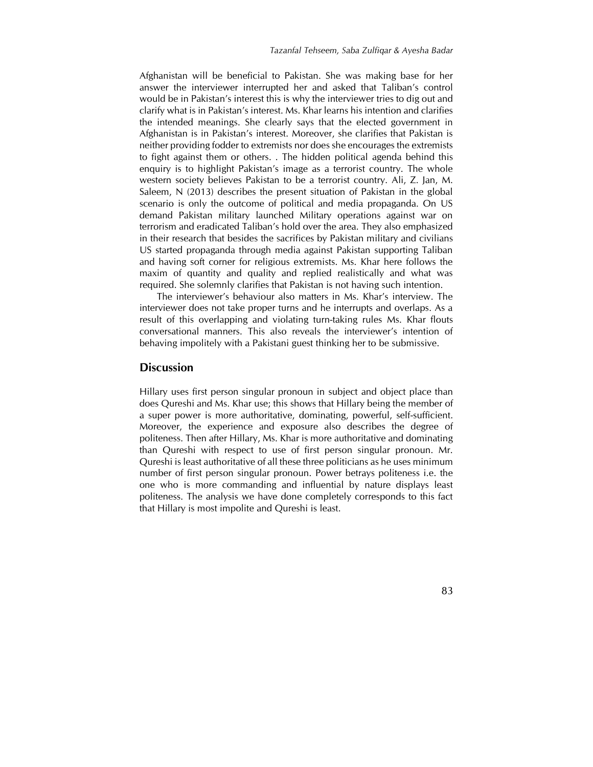Afghanistan will be beneficial to Pakistan. She was making base for her answer the interviewer interrupted her and asked that Taliban's control would be in Pakistan's interest this is why the interviewer tries to dig out and clarify what is in Pakistan's interest. Ms. Khar learns his intention and clarifies the intended meanings. She clearly says that the elected government in Afghanistan is in Pakistan's interest. Moreover, she clarifies that Pakistan is neither providing fodder to extremists nor does she encourages the extremists to fight against them or others. . The hidden political agenda behind this enquiry is to highlight Pakistan's image as a terrorist country. The whole western society believes Pakistan to be a terrorist country. Ali, Z. Jan, M. Saleem, N (2013) describes the present situation of Pakistan in the global scenario is only the outcome of political and media propaganda. On US demand Pakistan military launched Military operations against war on terrorism and eradicated Taliban's hold over the area. They also emphasized in their research that besides the sacrifices by Pakistan military and civilians US started propaganda through media against Pakistan supporting Taliban and having soft corner for religious extremists. Ms. Khar here follows the maxim of quantity and quality and replied realistically and what was required. She solemnly clarifies that Pakistan is not having such intention.

The interviewer's behaviour also matters in Ms. Khar's interview. The interviewer does not take proper turns and he interrupts and overlaps. As a result of this overlapping and violating turn-taking rules Ms. Khar flouts conversational manners. This also reveals the interviewer's intention of behaving impolitely with a Pakistani guest thinking her to be submissive.

#### **Discussion**

Hillary uses first person singular pronoun in subject and object place than does Qureshi and Ms. Khar use; this shows that Hillary being the member of a super power is more authoritative, dominating, powerful, self-sufficient. Moreover, the experience and exposure also describes the degree of politeness. Then after Hillary, Ms. Khar is more authoritative and dominating than Qureshi with respect to use of first person singular pronoun. Mr. Qureshi is least authoritative of all these three politicians as he uses minimum number of first person singular pronoun. Power betrays politeness i.e. the one who is more commanding and influential by nature displays least politeness. The analysis we have done completely corresponds to this fact that Hillary is most impolite and Qureshi is least.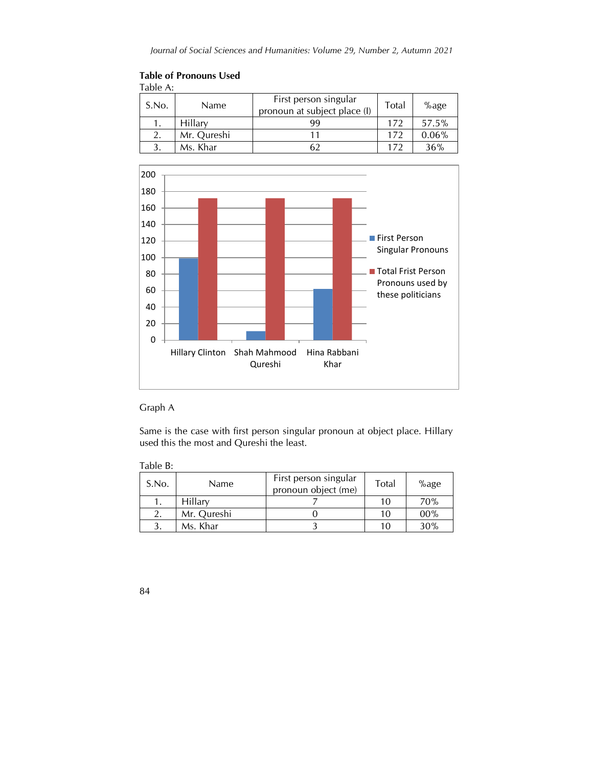| Table A: |             |                                                       |       |       |  |  |  |
|----------|-------------|-------------------------------------------------------|-------|-------|--|--|--|
| S.No.    | Name        | First person singular<br>pronoun at subject place (I) | Total | %age  |  |  |  |
|          | Hillary     | 99                                                    | 172   | 57.5% |  |  |  |
| 2.       | Mr. Qureshi |                                                       | 172   | 0.06% |  |  |  |
|          | Ms. Khar    |                                                       | 172   | 36%   |  |  |  |





# Graph A

Same is the case with first person singular pronoun at object place. Hillary used this the most and Qureshi the least.

| Table D. |       |             |                                              |       |      |
|----------|-------|-------------|----------------------------------------------|-------|------|
|          | S.No. | <b>Name</b> | First person singular<br>pronoun object (me) | Total | %age |
|          |       | Hillarv     |                                              | 10    | 70%  |
|          |       | Mr. Qureshi |                                              | 10    | 00%  |
|          |       | Ms. Khar    |                                              | 10    | 30%  |

Table B: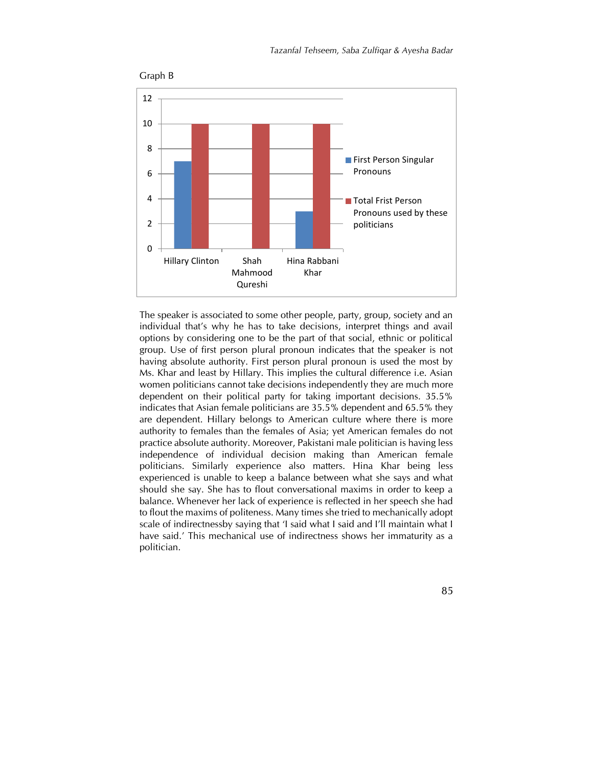

The speaker is associated to some other people, party, group, society and an individual that's why he has to take decisions, interpret things and avail options by considering one to be the part of that social, ethnic or political group. Use of first person plural pronoun indicates that the speaker is not having absolute authority. First person plural pronoun is used the most by Ms. Khar and least by Hillary. This implies the cultural difference i.e. Asian women politicians cannot take decisions independently they are much more dependent on their political party for taking important decisions. 35.5% indicates that Asian female politicians are 35.5% dependent and 65.5% they are dependent. Hillary belongs to American culture where there is more authority to females than the females of Asia; yet American females do not practice absolute authority. Moreover, Pakistani male politician is having less independence of individual decision making than American female politicians. Similarly experience also matters. Hina Khar being less experienced is unable to keep a balance between what she says and what should she say. She has to flout conversational maxims in order to keep a balance. Whenever her lack of experience is reflected in her speech she had to flout the maxims of politeness. Many times she tried to mechanically adopt scale of indirectnessby saying that 'I said what I said and I'll maintain what I have said.' This mechanical use of indirectness shows her immaturity as a politician.

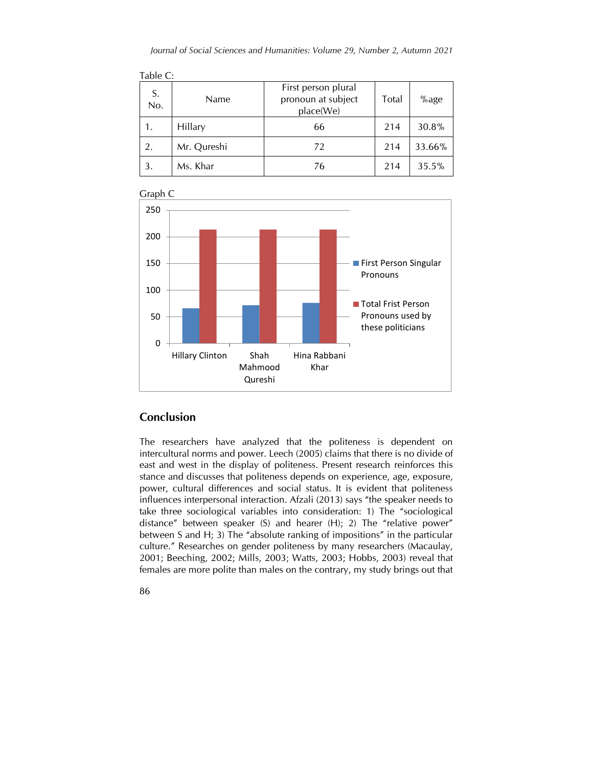| S.<br>No. | Name        | First person plural<br>pronoun at subject<br>place(We) | <b>Total</b> | %age   |
|-----------|-------------|--------------------------------------------------------|--------------|--------|
| 1.        | Hillary     | 66                                                     | 214          | 30.8%  |
| 2.        | Mr. Qureshi | 72                                                     | 214          | 33.66% |
| 3.        | Ms. Khar    | 76                                                     | 214          | 35.5%  |



Graph C

 $\overline{11}$ 

# **Conclusion**

The researchers have analyzed that the politeness is dependent on intercultural norms and power. Leech (2005) claims that there is no divide of east and west in the display of politeness. Present research reinforces this stance and discusses that politeness depends on experience, age, exposure, power, cultural differences and social status. It is evident that politeness influences interpersonal interaction. Afzali (2013) says "the speaker needs to take three sociological variables into consideration: 1) The "sociological distance" between speaker (S) and hearer (H); 2) The "relative power" between S and H; 3) The "absolute ranking of impositions" in the particular culture." Researches on gender politeness by many researchers (Macaulay, 2001; Beeching, 2002; Mills, 2003; Watts, 2003; Hobbs, 2003) reveal that females are more polite than males on the contrary, my study brings out that

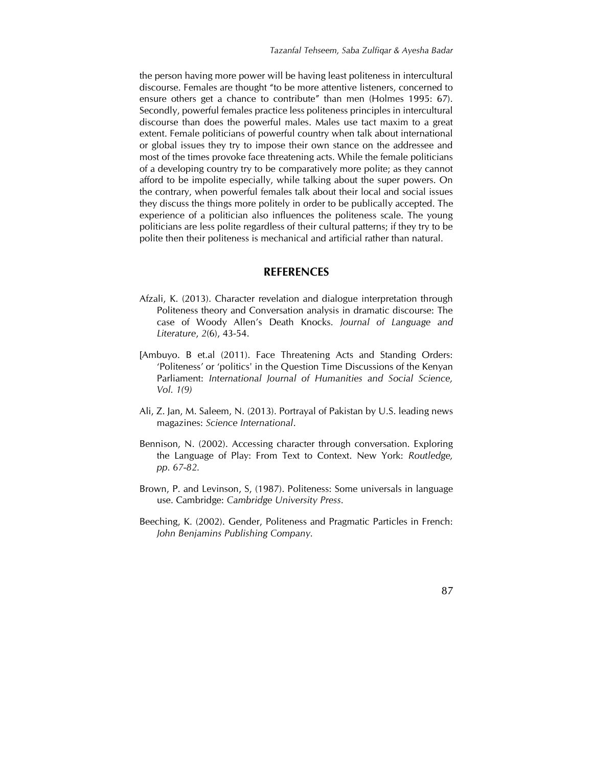the person having more power will be having least politeness in intercultural discourse. Females are thought "to be more attentive listeners, concerned to ensure others get a chance to contribute" than men (Holmes 1995: 67). Secondly, powerful females practice less politeness principles in intercultural discourse than does the powerful males. Males use tact maxim to a great extent. Female politicians of powerful country when talk about international or global issues they try to impose their own stance on the addressee and most of the times provoke face threatening acts. While the female politicians of a developing country try to be comparatively more polite; as they cannot afford to be impolite especially, while talking about the super powers. On the contrary, when powerful females talk about their local and social issues they discuss the things more politely in order to be publically accepted. The experience of a politician also influences the politeness scale. The young politicians are less polite regardless of their cultural patterns; if they try to be polite then their politeness is mechanical and artificial rather than natural.

## **REFERENCES**

- Afzali, K. (2013). Character revelation and dialogue interpretation through Politeness theory and Conversation analysis in dramatic discourse: The case of Woody Allen's Death Knocks. *Journal of Language and Literature*, *2*(6), 43-54.
- [Ambuyo. B et.al (2011). Face Threatening Acts and Standing Orders: 'Politeness' or 'politics' in the Question Time Discussions of the Kenyan Parliament: *International Journal of Humanities and Social Science, Vol. 1(9)*
- Ali, Z. Jan, M. Saleem, N. (2013). Portrayal of Pakistan by U.S. leading news magazines: *Science International*.
- Bennison, N. (2002). Accessing character through conversation. Exploring the Language of Play: From Text to Context. New York: *Routledge, pp. 67-82.*
- Brown, P. and Levinson, S, (1987). Politeness: Some universals in language use. Cambridge: *Cambridge University Press.*
- Beeching, K. (2002). Gender, Politeness and Pragmatic Particles in French: *John Benjamins Publishing Company.*